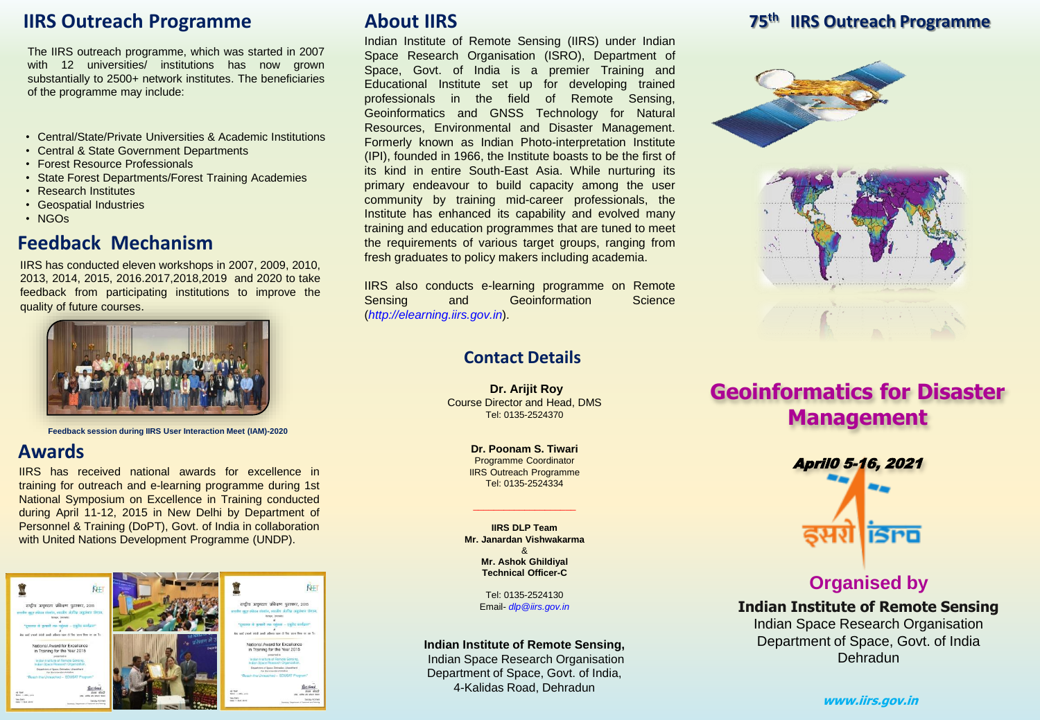## **IIRS Outreach Programme**

The IIRS outreach programme, which was started in 2007 with 12 universities/ institutions has now grown substantially to 2500+ network institutes. The beneficiaries of the programme may include:

- Central/State/Private Universities & Academic Institutions
- Central & State Government Departments
- Forest Resource Professionals
- State Forest Departments/Forest Training Academies
- Research Institutes
- Geospatial Industries
- NGOs

## **Feedback Mechanism**

IIRS has conducted eleven workshops in 2007, 2009, 2010, 2013, 2014, 2015, 2016.2017,2018,2019 and 2020 to take feedback from participating institutions to improve the quality of future courses.



**Feedback session during IIRS User Interaction Meet (IAM)-2020**

## **Awards**

IIRS has received national awards for excellence in training for outreach and e-learning programme during 1st National Symposium on Excellence in Training conducted during April 11-12, 2015 in New Delhi by Department of Personnel & Training (DoPT), Govt. of India in collaboration with United Nations Development Programme (UNDP).



## **About IIRS**

Indian Institute of Remote Sensing (IIRS) under Indian Space Research Organisation (ISRO), Department of Space, Govt. of India is a premier Training and Educational Institute set up for developing trained professionals in the field of Remote Sensing, Geoinformatics and GNSS Technology for Natural Resources, Environmental and Disaster Management. Formerly known as Indian Photo-interpretation Institute (IPI), founded in 1966, the Institute boasts to be the first of its kind in entire South-East Asia. While nurturing its primary endeavour to build capacity among the user community by training mid-career professionals, the Institute has enhanced its capability and evolved many training and education programmes that are tuned to meet the requirements of various target groups, ranging from fresh graduates to policy makers including academia.

IIRS also conducts e-learning programme on Remote Sensing and Geoinformation Science (*http://elearning.iirs.gov.in*).

## **Contact Details**

**Dr. Arijit Roy** Course Director and Head, DMS Tel: 0135-2524370

> **Dr. Poonam S. Tiwari** Programme Coordinator IIRS Outreach Programme Tel: 0135-2524334

\_\_\_\_\_\_\_\_\_\_\_\_\_\_\_\_\_\_\_\_

**IIRS DLP Team Mr. Janardan Vishwakarma** & **Mr. Ashok Ghildiyal Technical Officer-C** 

> Tel: 0135-2524130 Email- *dlp@iirs.gov.in*

#### **Indian Institute of Remote Sensing,**

Indian Space Research Organisation Department of Space, Govt. of India, 4-Kalidas Road, Dehradun

## **75th IIRS Outreach Programme**





**Geoinformatics for Disaster Management** 



## **Organised by**

**Indian Institute of Remote Sensing** Indian Space Research Organisation Department of Space, Govt. of India Dehradun

**www.iirs.gov.in**